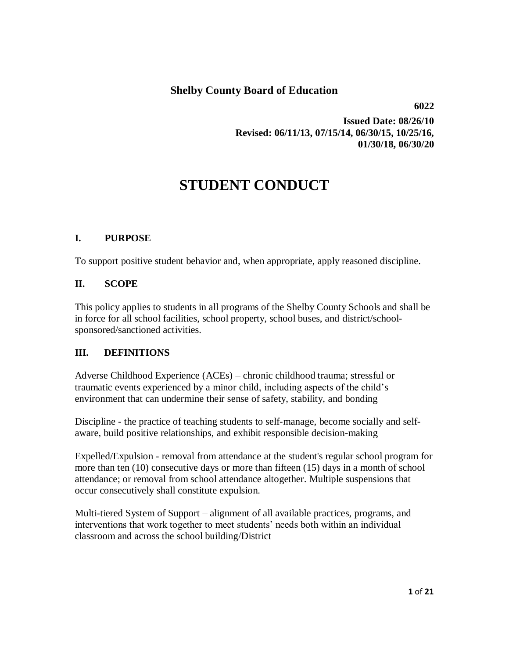# **Shelby County Board of Education**

 **6022**

**Issued Date: 08/26/10 Revised: 06/11/13, 07/15/14, 06/30/15, 10/25/16, 01/30/18, 06/30/20**

# **STUDENT CONDUCT**

# **I. PURPOSE**

To support positive student behavior and, when appropriate, apply reasoned discipline.

#### **II. SCOPE**

This policy applies to students in all programs of the Shelby County Schools and shall be in force for all school facilities, school property, school buses, and district/schoolsponsored/sanctioned activities.

#### **III. DEFINITIONS**

Adverse Childhood Experience (ACEs) – chronic childhood trauma; stressful or traumatic events experienced by a minor child, including aspects of the child's environment that can undermine their sense of safety, stability, and bonding

Discipline - the practice of teaching students to self-manage, become socially and selfaware, build positive relationships, and exhibit responsible decision-making

Expelled/Expulsion - removal from attendance at the student's regular school program for more than ten (10) consecutive days or more than fifteen (15) days in a month of school attendance; or removal from school attendance altogether. Multiple suspensions that occur consecutively shall constitute expulsion.

Multi-tiered System of Support – alignment of all available practices, programs, and interventions that work together to meet students' needs both within an individual classroom and across the school building/District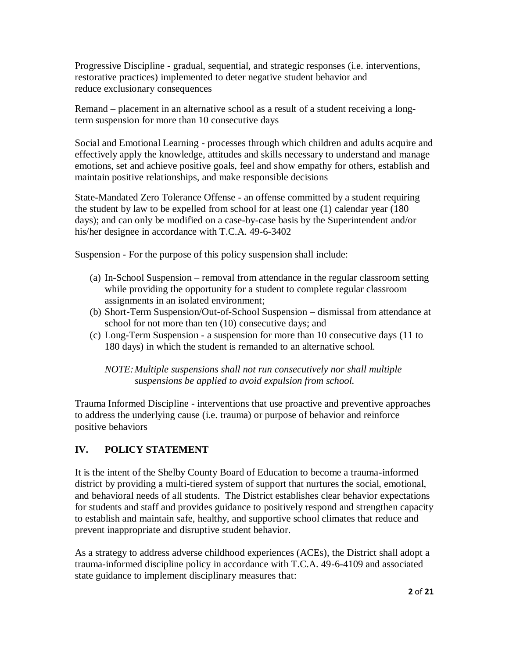Progressive Discipline - gradual, sequential, and strategic responses (i.e. interventions, restorative practices) implemented to deter negative student behavior and reduce exclusionary consequences

Remand – placement in an alternative school as a result of a student receiving a longterm suspension for more than 10 consecutive days

Social and Emotional Learning - processes through which children and adults acquire and effectively apply the knowledge, attitudes and skills necessary to understand and manage emotions, set and achieve positive goals, feel and show empathy for others, establish and maintain positive relationships, and make responsible decisions

State-Mandated Zero Tolerance Offense - an offense committed by a student requiring the student by law to be expelled from school for at least one (1) calendar year (180 days); and can only be modified on a case-by-case basis by the Superintendent and/or his/her designee in accordance with T.C.A. 49-6-3402

Suspension - For the purpose of this policy suspension shall include:

- (a) In-School Suspension removal from attendance in the regular classroom setting while providing the opportunity for a student to complete regular classroom assignments in an isolated environment;
- (b) Short-Term Suspension/Out-of-School Suspension dismissal from attendance at school for not more than ten (10) consecutive days; and
- (c) Long-Term Suspension a suspension for more than 10 consecutive days (11 to 180 days) in which the student is remanded to an alternative school.

*NOTE:Multiple suspensions shall not run consecutively nor shall multiple suspensions be applied to avoid expulsion from school.*

Trauma Informed Discipline - interventions that use proactive and preventive approaches to address the underlying cause (i.e. trauma) or purpose of behavior and reinforce positive behaviors

# **IV. POLICY STATEMENT**

It is the intent of the Shelby County Board of Education to become a trauma-informed district by providing a multi-tiered system of support that nurtures the social, emotional, and behavioral needs of all students. The District establishes clear behavior expectations for students and staff and provides guidance to positively respond and strengthen capacity to establish and maintain safe, healthy, and supportive school climates that reduce and prevent inappropriate and disruptive student behavior.

As a strategy to address adverse childhood experiences (ACEs), the District shall adopt a trauma-informed discipline policy in accordance with T.C.A. 49-6-4109 and associated state guidance to implement disciplinary measures that: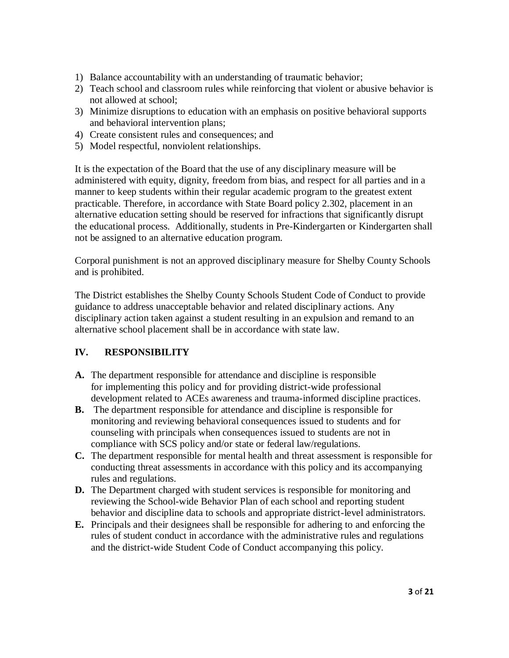- 1) Balance accountability with an understanding of traumatic behavior;
- 2) Teach school and classroom rules while reinforcing that violent or abusive behavior is not allowed at school;
- 3) Minimize disruptions to education with an emphasis on positive behavioral supports and behavioral intervention plans;
- 4) Create consistent rules and consequences; and
- 5) Model respectful, nonviolent relationships.

It is the expectation of the Board that the use of any disciplinary measure will be administered with equity, dignity, freedom from bias, and respect for all parties and in a manner to keep students within their regular academic program to the greatest extent practicable. Therefore, in accordance with State Board policy 2.302, placement in an alternative education setting should be reserved for infractions that significantly disrupt the educational process. Additionally, students in Pre-Kindergarten or Kindergarten shall not be assigned to an alternative education program.

Corporal punishment is not an approved disciplinary measure for Shelby County Schools and is prohibited.

The District establishes the Shelby County Schools Student Code of Conduct to provide guidance to address unacceptable behavior and related disciplinary actions. Any disciplinary action taken against a student resulting in an expulsion and remand to an alternative school placement shall be in accordance with state law.

# **IV. RESPONSIBILITY**

- **A.** The department responsible for attendance and discipline is responsible for implementing this policy and for providing district-wide professional development related to ACEs awareness and trauma-informed discipline practices.
- **B.** The department responsible for attendance and discipline is responsible for monitoring and reviewing behavioral consequences issued to students and for counseling with principals when consequences issued to students are not in compliance with SCS policy and/or state or federal law/regulations.
- **C.** The department responsible for mental health and threat assessment is responsible for conducting threat assessments in accordance with this policy and its accompanying rules and regulations.
- **D.** The Department charged with student services is responsible for monitoring and reviewing the School-wide Behavior Plan of each school and reporting student behavior and discipline data to schools and appropriate district-level administrators.
- **E.** Principals and their designees shall be responsible for adhering to and enforcing the rules of student conduct in accordance with the administrative rules and regulations and the district-wide Student Code of Conduct accompanying this policy.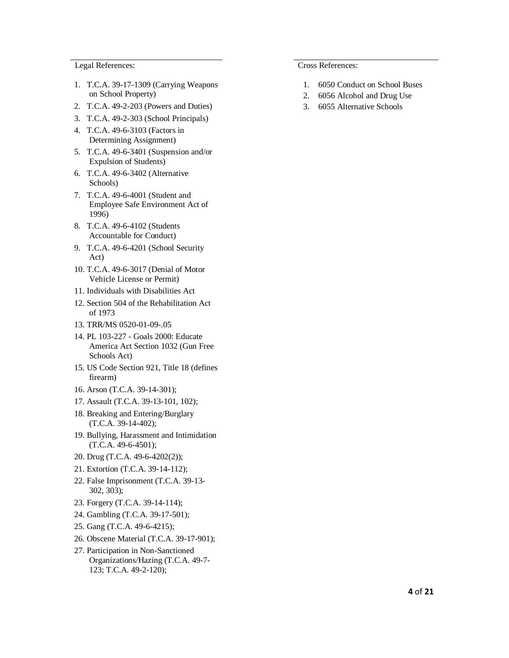Legal References: Cross References:

- 1. T.C.A. 39-17-1309 (Carrying Weapons on School Property)
- 2. T.C.A. 49-2-203 (Powers and Duties)
- 3. T.C.A. 49-2-303 (School Principals)
- 4. T.C.A. 49-6-3103 (Factors in Determining Assignment)
- 5. T.C.A. 49-6-3401 (Suspension and/or Expulsion of Students)
- 6. T.C.A. 49-6-3402 (Alternative Schools)
- 7. T.C.A. 49-6-4001 (Student and Employee Safe Environment Act of 1996)
- 8. T.C.A. 49-6-4102 (Students Accountable for Conduct)
- 9. T.C.A. 49-6-4201 (School Security Act)
- 10. T.C.A. 49-6-3017 (Denial of Motor Vehicle License or Permit)
- 11. Individuals with Disabilities Act
- 12. Section 504 of the Rehabilitation Act of 1973
- 13. TRR/MS 0520-01-09-.05
- 14. PL 103-227 Goals 2000: Educate America Act Section 1032 (Gun Free Schools Act)
- 15. US Code Section 921, Title 18 (defines firearm)
- 16. Arson (T.C.A. 39-14-301);
- 17. Assault (T.C.A. 39-13-101, 102);
- 18. Breaking and Entering/Burglary (T.C.A. 39-14-402);
- 19. Bullying, Harassment and Intimidation (T.C.A. 49-6-4501);
- 20. Drug (T.C.A. 49-6-4202(2));
- 21. Extortion (T.C.A. 39-14-112);
- 22. False Imprisonment (T.C.A. 39-13- 302, 303);
- 23. Forgery (T.C.A. 39-14-114);
- 24. Gambling (T.C.A. 39-17-501);
- 25. Gang (T.C.A. 49-6-4215);
- 26. Obscene Material (T.C.A. 39-17-901);
- 27. Participation in Non-Sanctioned Organizations/Hazing (T.C.A. 49-7- 123; T.C.A. 49-2-120);

- 1. [6050 Conduct on School Buses](http://www.scsk12.org/uf/policy/files/files/6000%20Students/6050%20Student%20Conduct%20on%20School%20Buses(1).pdf)
- 2. 6056 Alcohol and Drug Use
- 3. 6055 Alternative Schools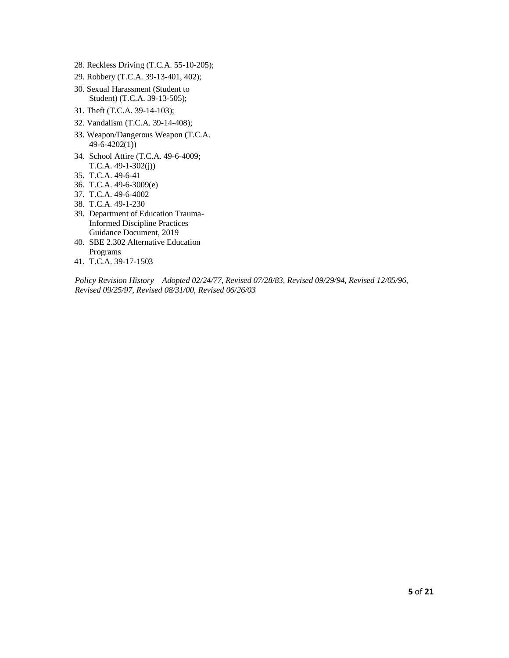- 28. Reckless Driving (T.C.A. 55-10-205);
- 29. Robbery (T.C.A. 39-13-401, 402);
- 30. Sexual Harassment (Student to Student) (T.C.A. 39-13-505);
- 31. Theft (T.C.A. 39-14-103);
- 32. Vandalism (T.C.A. 39-14-408);
- 33. Weapon/Dangerous Weapon (T.C.A. 49-6-4202(1))
- 34. School Attire (T.C.A. 49-6-4009; T.C.A. 49-1-302(j))
- 35. T.C.A. 49-6-41
- 36. T.C.A. 49-6-3009(e)
- 37. T.C.A. 49-6-4002
- 38. T.C.A. 49-1-230
- 39. Department of Education Trauma-Informed Discipline Practices Guidance Document, 2019
- 40. SBE 2.302 Alternative Education Programs
- 41. T.C.A. 39-17-1503

*Policy Revision History – Adopted 02/24/77, Revised 07/28/83, Revised 09/29/94, Revised 12/05/96, Revised 09/25/97, Revised 08/31/00, Revised 06/26/03*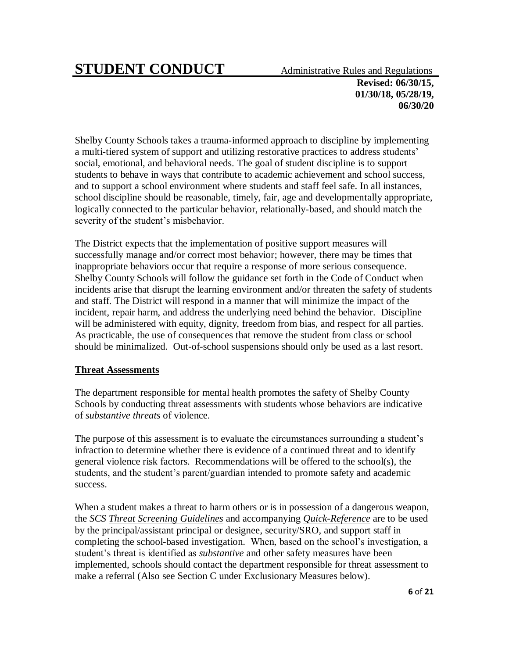# **STUDENT CONDUCT** Administrative Rules and Regulations

**Revised: 06/30/15, 01/30/18, 05/28/19, 06/30/20**

Shelby County Schools takes a trauma-informed approach to discipline by implementing a multi-tiered system of support and utilizing restorative practices to address students' social, emotional, and behavioral needs. The goal of student discipline is to support students to behave in ways that contribute to academic achievement and school success, and to support a school environment where students and staff feel safe. In all instances, school discipline should be reasonable, timely, fair, age and developmentally appropriate, logically connected to the particular behavior, relationally-based, and should match the severity of the student's misbehavior.

The District expects that the implementation of positive support measures will successfully manage and/or correct most behavior; however, there may be times that inappropriate behaviors occur that require a response of more serious consequence. Shelby County Schools will follow the guidance set forth in the Code of Conduct when incidents arise that disrupt the learning environment and/or threaten the safety of students and staff. The District will respond in a manner that will minimize the impact of the incident, repair harm, and address the underlying need behind the behavior. Discipline will be administered with equity, dignity, freedom from bias, and respect for all parties. As practicable, the use of consequences that remove the student from class or school should be minimalized. Out-of-school suspensions should only be used as a last resort.

#### **Threat Assessments**

The department responsible for mental health promotes the safety of Shelby County Schools by conducting threat assessments with students whose behaviors are indicative of *substantive threats* of violence.

The purpose of this assessment is to evaluate the circumstances surrounding a student's infraction to determine whether there is evidence of a continued threat and to identify general violence risk factors. Recommendations will be offered to the school(s), the students, and the student's parent/guardian intended to promote safety and academic success.

When a student makes a threat to harm others or is in possession of a dangerous weapon, the *SCS Threat Screening [Guidelines](http://www.scsk12.org/uf/memo/files/files/SCS%20THREAT%20SCREENING%20GUIDELINES.pdf)* and accompanying *[Quick-Reference](http://www.scsk12.org/uf/memo/files/files/SCS%20THREAT%20SCREENING%20QUICK-REFERENCE.pdf)* are to be used by the principal/assistant principal or designee, security/SRO, and support staff in completing the school-based investigation. When, based on the school's investigation, a student's threat is identified as *substantive* and other safety measures have been implemented, schools should contact the department responsible for threat assessment to make a referral (Also see Section C under Exclusionary Measures below).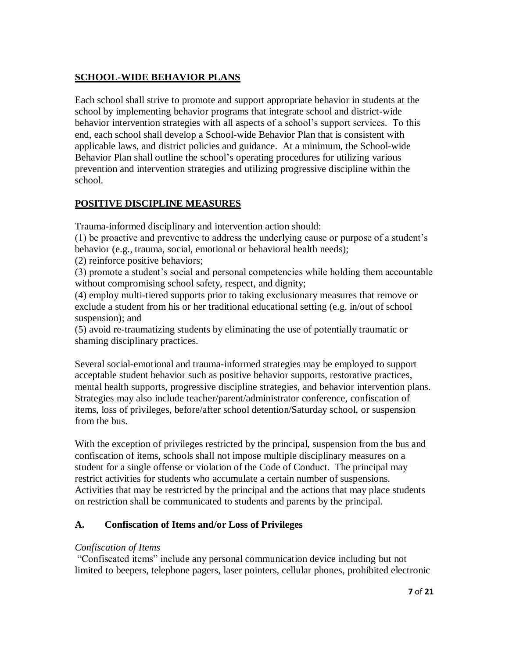# **SCHOOL-WIDE BEHAVIOR PLANS**

Each school shall strive to promote and support appropriate behavior in students at the school by implementing behavior programs that integrate school and district-wide behavior intervention strategies with all aspects of a school's support services. To this end, each school shall develop a School-wide Behavior Plan that is consistent with applicable laws, and district policies and guidance. At a minimum, the School-wide Behavior Plan shall outline the school's operating procedures for utilizing various prevention and intervention strategies and utilizing progressive discipline within the school.

# **POSITIVE DISCIPLINE MEASURES**

Trauma-informed disciplinary and intervention action should:

(1) be proactive and preventive to address the underlying cause or purpose of a student's behavior (e.g., trauma, social, emotional or behavioral health needs);

(2) reinforce positive behaviors;

(3) promote a student's social and personal competencies while holding them accountable without compromising school safety, respect, and dignity;

(4) employ multi-tiered supports prior to taking exclusionary measures that remove or exclude a student from his or her traditional educational setting (e.g. in/out of school suspension); and

(5) avoid re-traumatizing students by eliminating the use of potentially traumatic or shaming disciplinary practices.

Several social-emotional and trauma-informed strategies may be employed to support acceptable student behavior such as positive behavior supports, restorative practices, mental health supports, progressive discipline strategies, and behavior intervention plans. Strategies may also include teacher/parent/administrator conference, confiscation of items, loss of privileges, before/after school detention/Saturday school, or suspension from the bus.

With the exception of privileges restricted by the principal, suspension from the bus and confiscation of items, schools shall not impose multiple disciplinary measures on a student for a single offense or violation of the Code of Conduct. The principal may restrict activities for students who accumulate a certain number of suspensions. Activities that may be restricted by the principal and the actions that may place students on restriction shall be communicated to students and parents by the principal.

# **A. Confiscation of Items and/or Loss of Privileges**

#### *Confiscation of Items*

"Confiscated items" include any personal communication device including but not limited to beepers, telephone pagers, laser pointers, cellular phones, prohibited electronic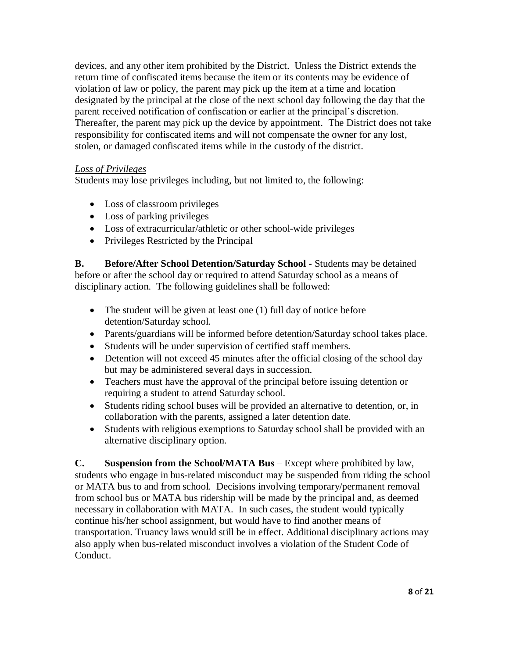devices, and any other item prohibited by the District. Unless the District extends the return time of confiscated items because the item or its contents may be evidence of violation of law or policy, the parent may pick up the item at a time and location designated by the principal at the close of the next school day following the day that the parent received notification of confiscation or earlier at the principal's discretion. Thereafter, the parent may pick up the device by appointment. The District does not take responsibility for confiscated items and will not compensate the owner for any lost, stolen, or damaged confiscated items while in the custody of the district.

#### *Loss of Privileges*

Students may lose privileges including, but not limited to, the following:

- Loss of classroom privileges
- Loss of parking privileges
- Loss of extracurricular/athletic or other school-wide privileges
- Privileges Restricted by the Principal

**B. Before/After School Detention/Saturday School -** Students may be detained before or after the school day or required to attend Saturday school as a means of disciplinary action. The following guidelines shall be followed:

- The student will be given at least one (1) full day of notice before detention/Saturday school.
- Parents/guardians will be informed before detention/Saturday school takes place.
- Students will be under supervision of certified staff members.
- Detention will not exceed 45 minutes after the official closing of the school day but may be administered several days in succession.
- Teachers must have the approval of the principal before issuing detention or requiring a student to attend Saturday school.
- Students riding school buses will be provided an alternative to detention, or, in collaboration with the parents, assigned a later detention date.
- Students with religious exemptions to Saturday school shall be provided with an alternative disciplinary option.

**C. Suspension from the School/MATA Bus** – Except where prohibited by law, students who engage in bus-related misconduct may be suspended from riding the school or MATA bus to and from school. Decisions involving temporary/permanent removal from school bus or MATA bus ridership will be made by the principal and, as deemed necessary in collaboration with MATA. In such cases, the student would typically continue his/her school assignment, but would have to find another means of transportation. Truancy laws would still be in effect. Additional disciplinary actions may also apply when bus-related misconduct involves a violation of the Student Code of Conduct.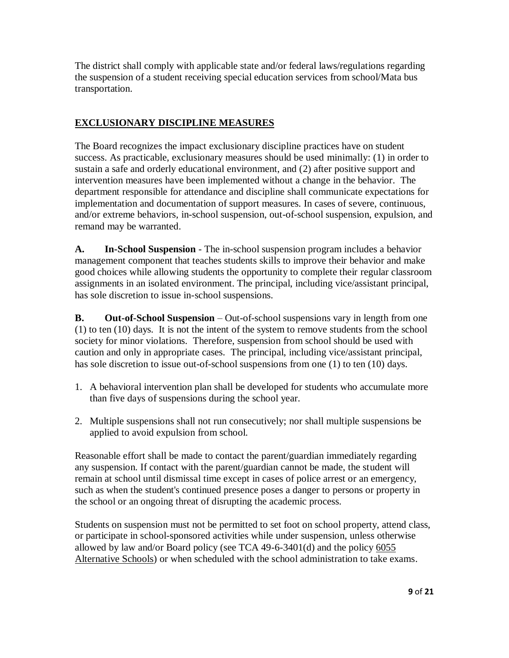The district shall comply with applicable state and/or federal laws/regulations regarding the suspension of a student receiving special education services from school/Mata bus transportation.

# **EXCLUSIONARY DISCIPLINE MEASURES**

The Board recognizes the impact exclusionary discipline practices have on student success. As practicable, exclusionary measures should be used minimally: (1) in order to sustain a safe and orderly educational environment, and (2) after positive support and intervention measures have been implemented without a change in the behavior. The department responsible for attendance and discipline shall communicate expectations for implementation and documentation of support measures. In cases of severe, continuous, and/or extreme behaviors, in-school suspension, out-of-school suspension, expulsion, and remand may be warranted.

**A. In-School Suspension** - The in-school suspension program includes a behavior management component that teaches students skills to improve their behavior and make good choices while allowing students the opportunity to complete their regular classroom assignments in an isolated environment. The principal, including vice/assistant principal, has sole discretion to issue in-school suspensions.

**B. Out-of-School Suspension** – Out-of-school suspensions vary in length from one (1) to ten (10) days. It is not the intent of the system to remove students from the school society for minor violations. Therefore, suspension from school should be used with caution and only in appropriate cases. The principal, including vice/assistant principal, has sole discretion to issue out-of-school suspensions from one (1) to ten (10) days.

- 1. A behavioral intervention plan shall be developed for students who accumulate more than five days of suspensions during the school year.
- 2. Multiple suspensions shall not run consecutively; nor shall multiple suspensions be applied to avoid expulsion from school.

Reasonable effort shall be made to contact the parent/guardian immediately regarding any suspension. If contact with the parent/guardian cannot be made, the student will remain at school until dismissal time except in cases of police arrest or an emergency, such as when the student's continued presence poses a danger to persons or property in the school or an ongoing threat of disrupting the academic process.

Students on suspension must not be permitted to set foot on school property, attend class, or participate in school-sponsored activities while under suspension, unless otherwise allowed by law and/or Board policy (see TCA 49-6-3401(d) and the policy [6055](http://www.scsk12.org/Policy_Manual/pm/6000/6055_Alternative_Schools.pdf) [Alternative Schools\)](http://www.scsk12.org/Policy_Manual/pm/6000/6055_Alternative_Schools.pdf) or when scheduled with the school administration to take exams.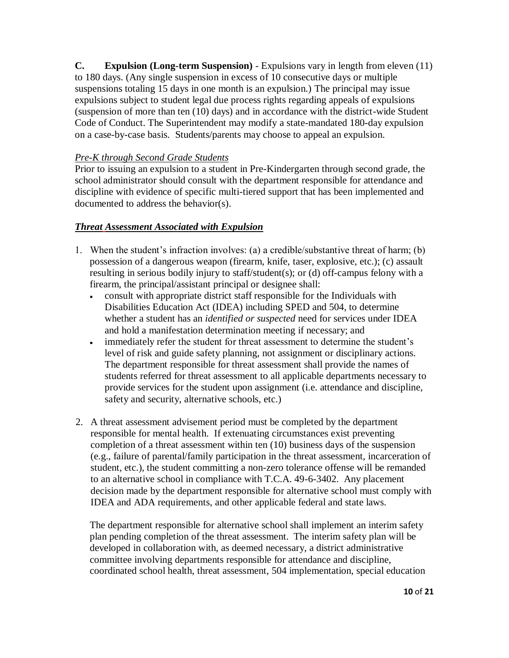**C. Expulsion (Long-term Suspension)** - Expulsions vary in length from eleven (11) to 180 days. (Any single suspension in excess of 10 consecutive days or multiple suspensions totaling 15 days in one month is an expulsion.) The principal may issue expulsions subject to student legal due process rights regarding appeals of expulsions (suspension of more than ten (10) days) and in accordance with the district-wide Student Code of Conduct. The Superintendent may modify a state-mandated 180-day expulsion on a case-by-case basis. Students/parents may choose to appeal an expulsion.

## *Pre-K through Second Grade Students*

Prior to issuing an expulsion to a student in Pre-Kindergarten through second grade, the school administrator should consult with the department responsible for attendance and discipline with evidence of specific multi-tiered support that has been implemented and documented to address the behavior(s).

# *Threat Assessment Associated with Expulsion*

- 1. When the student's infraction involves: (a) a credible/substantive threat of harm; (b) possession of a dangerous weapon (firearm, knife, taser, explosive, etc.); (c) assault resulting in serious bodily injury to staff/student(s); or (d) off-campus felony with a firearm, the principal/assistant principal or designee shall:
	- consult with appropriate district staff responsible for the Individuals with Disabilities Education Act (IDEA) including SPED and 504, to determine whether a student has an *identified or suspected* need for services under IDEA and hold a manifestation determination meeting if necessary; and
	- immediately refer the student for threat assessment to determine the student's level of risk and guide safety planning, not assignment or disciplinary actions. The department responsible for threat assessment shall provide the names of students referred for threat assessment to all applicable departments necessary to provide services for the student upon assignment (i.e. attendance and discipline, safety and security, alternative schools, etc.)
- 2. A threat assessment advisement period must be completed by the department responsible for mental health. If extenuating circumstances exist preventing completion of a threat assessment within ten (10) business days of the suspension (e.g., failure of parental/family participation in the threat assessment, incarceration of student, etc.), the student committing a non-zero tolerance offense will be remanded to an alternative school in compliance with T.C.A. 49-6-3402. Any placement decision made by the department responsible for alternative school must comply with IDEA and ADA requirements, and other applicable federal and state laws.

The department responsible for alternative school shall implement an interim safety plan pending completion of the threat assessment. The interim safety plan will be developed in collaboration with, as deemed necessary, a district administrative committee involving departments responsible for attendance and discipline, coordinated school health, threat assessment, 504 implementation, special education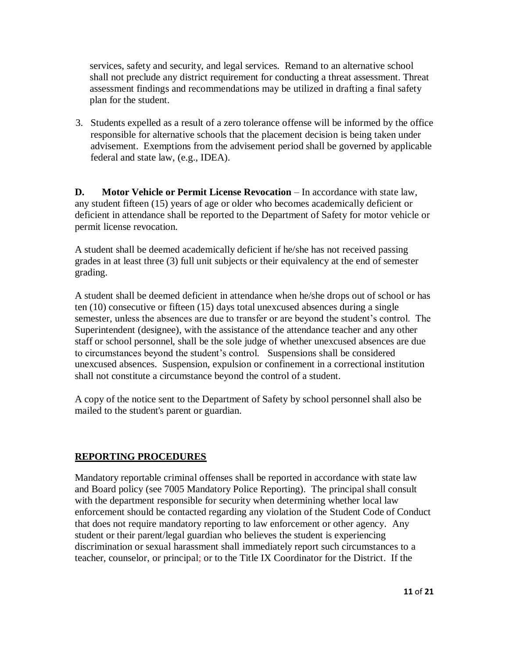services, safety and security, and legal services. Remand to an alternative school shall not preclude any district requirement for conducting a threat assessment. Threat assessment findings and recommendations may be utilized in drafting a final safety plan for the student.

3. Students expelled as a result of a zero tolerance offense will be informed by the office responsible for alternative schools that the placement decision is being taken under advisement. Exemptions from the advisement period shall be governed by applicable federal and state law, (e.g., IDEA).

**D. Motor Vehicle or Permit License Revocation** – In accordance with state law, any student fifteen (15) years of age or older who becomes academically deficient or deficient in attendance shall be reported to the Department of Safety for motor vehicle or permit license revocation.

A student shall be deemed academically deficient if he/she has not received passing grades in at least three (3) full unit subjects or their equivalency at the end of semester grading.

A student shall be deemed deficient in attendance when he/she drops out of school or has ten (10) consecutive or fifteen (15) days total unexcused absences during a single semester, unless the absences are due to transfer or are beyond the student's control. The Superintendent (designee), with the assistance of the attendance teacher and any other staff or school personnel, shall be the sole judge of whether unexcused absences are due to circumstances beyond the student's control. Suspensions shall be considered unexcused absences. Suspension, expulsion or confinement in a correctional institution shall not constitute a circumstance beyond the control of a student.

A copy of the notice sent to the Department of Safety by school personnel shall also be mailed to the student's parent or guardian.

# **REPORTING PROCEDURES**

Mandatory reportable criminal offenses shall be reported in accordance with state law and Board policy (see 7005 Mandatory Police Reporting). The principal shall consult with the department responsible for security when determining whether local law enforcement should be contacted regarding any violation of the Student Code of Conduct that does not require mandatory reporting to law enforcement or other agency. Any student or their parent/legal guardian who believes the student is experiencing discrimination or sexual harassment shall immediately report such circumstances to a teacher, counselor, or principal; or to the Title IX Coordinator for the District. If the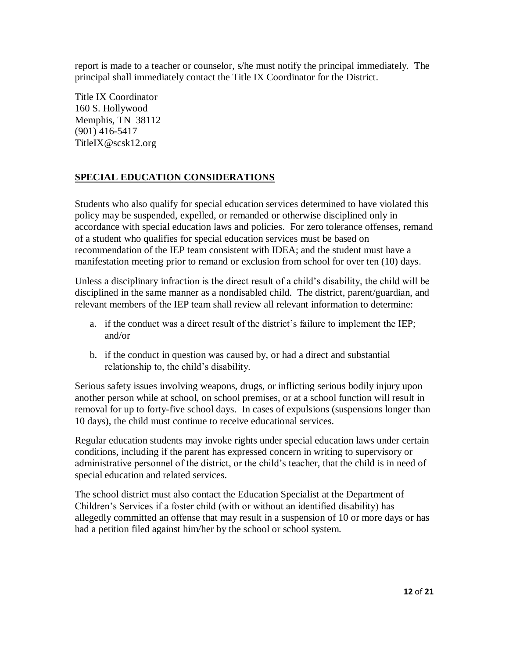report is made to a teacher or counselor, s/he must notify the principal immediately. The principal shall immediately contact the Title IX Coordinator for the District.

Title IX Coordinator 160 S. Hollywood Memphis, TN 38112 (901) 416-5417 TitleIX@scsk12.org

## **SPECIAL EDUCATION CONSIDERATIONS**

Students who also qualify for special education services determined to have violated this policy may be suspended, expelled, or remanded or otherwise disciplined only in accordance with special education laws and policies. For zero tolerance offenses, remand of a student who qualifies for special education services must be based on recommendation of the IEP team consistent with IDEA; and the student must have a manifestation meeting prior to remand or exclusion from school for over ten (10) days.

Unless a disciplinary infraction is the direct result of a child's disability, the child will be disciplined in the same manner as a nondisabled child. The district, parent/guardian, and relevant members of the IEP team shall review all relevant information to determine:

- a. if the conduct was a direct result of the district's failure to implement the IEP; and/or
- b. if the conduct in question was caused by, or had a direct and substantial relationship to, the child's disability.

Serious safety issues involving weapons, drugs, or inflicting serious bodily injury upon another person while at school, on school premises, or at a school function will result in removal for up to forty-five school days. In cases of expulsions (suspensions longer than 10 days), the child must continue to receive educational services.

Regular education students may invoke rights under special education laws under certain conditions, including if the parent has expressed concern in writing to supervisory or administrative personnel of the district, or the child's teacher, that the child is in need of special education and related services.

The school district must also contact the Education Specialist at the Department of Children's Services if a foster child (with or without an identified disability) has allegedly committed an offense that may result in a suspension of 10 or more days or has had a petition filed against him/her by the school or school system.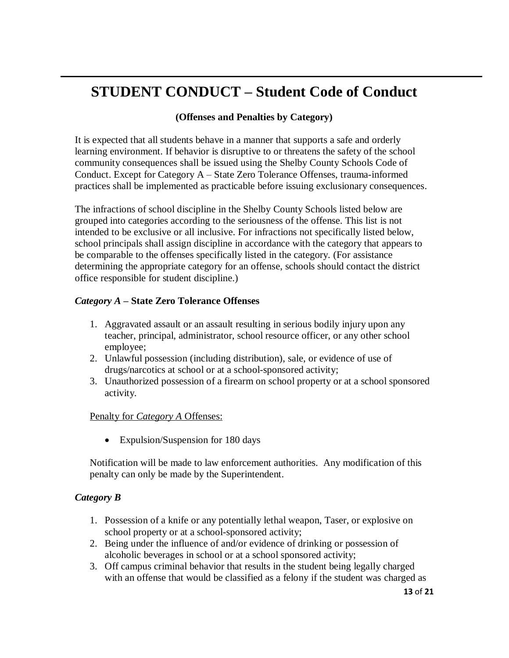# **STUDENT CONDUCT – Student Code of Conduct**

## **(Offenses and Penalties by Category)**

It is expected that all students behave in a manner that supports a safe and orderly learning environment. If behavior is disruptive to or threatens the safety of the school community consequences shall be issued using the Shelby County Schools Code of Conduct. Except for Category A – State Zero Tolerance Offenses, trauma-informed practices shall be implemented as practicable before issuing exclusionary consequences.

The infractions of school discipline in the Shelby County Schools listed below are grouped into categories according to the seriousness of the offense. This list is not intended to be exclusive or all inclusive. For infractions not specifically listed below, school principals shall assign discipline in accordance with the category that appears to be comparable to the offenses specifically listed in the category. (For assistance determining the appropriate category for an offense, schools should contact the district office responsible for student discipline.)

#### *Category A* **– State Zero Tolerance Offenses**

- 1. Aggravated assault or an assault resulting in serious bodily injury upon any teacher, principal, administrator, school resource officer, or any other school employee;
- 2. Unlawful possession (including distribution), sale, or evidence of use of drugs/narcotics at school or at a school-sponsored activity;
- 3. Unauthorized possession of a firearm on school property or at a school sponsored activity.

#### Penalty for *Category A* Offenses:

• Expulsion/Suspension for 180 days

Notification will be made to law enforcement authorities. Any modification of this penalty can only be made by the Superintendent.

#### *Category B*

- 1. Possession of a knife or any potentially lethal weapon, Taser, or explosive on school property or at a school-sponsored activity;
- 2. Being under the influence of and/or evidence of drinking or possession of alcoholic beverages in school or at a school sponsored activity;
- 3. Off campus criminal behavior that results in the student being legally charged with an offense that would be classified as a felony if the student was charged as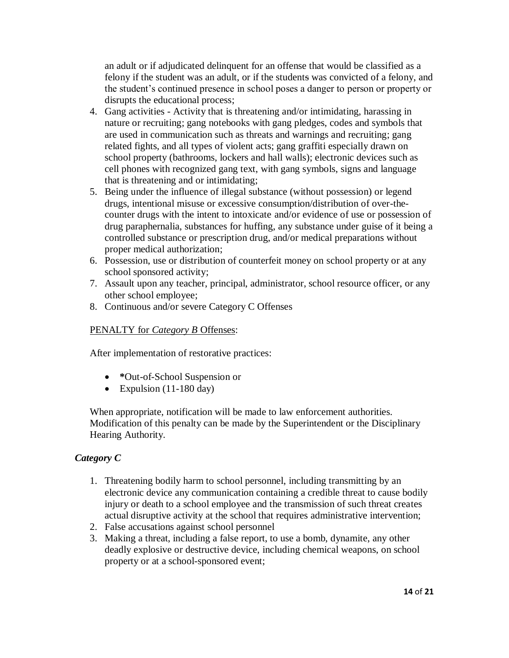an adult or if adjudicated delinquent for an offense that would be classified as a felony if the student was an adult, or if the students was convicted of a felony, and the student's continued presence in school poses a danger to person or property or disrupts the educational process;

- 4. Gang activities Activity that is threatening and/or intimidating, harassing in nature or recruiting; gang notebooks with gang pledges, codes and symbols that are used in communication such as threats and warnings and recruiting; gang related fights, and all types of violent acts; gang graffiti especially drawn on school property (bathrooms, lockers and hall walls); electronic devices such as cell phones with recognized gang text, with gang symbols, signs and language that is threatening and or intimidating;
- 5. Being under the influence of illegal substance (without possession) or legend drugs, intentional misuse or excessive consumption/distribution of over-thecounter drugs with the intent to intoxicate and/or evidence of use or possession of drug paraphernalia, substances for huffing, any substance under guise of it being a controlled substance or prescription drug, and/or medical preparations without proper medical authorization;
- 6. Possession, use or distribution of counterfeit money on school property or at any school sponsored activity;
- 7. Assault upon any teacher, principal, administrator, school resource officer, or any other school employee;
- 8. Continuous and/or severe Category C Offenses

#### PENALTY for *Category B* Offenses:

After implementation of restorative practices:

- **\***Out-of-School Suspension or
- Expulsion  $(11-180 \text{ day})$

When appropriate, notification will be made to law enforcement authorities. Modification of this penalty can be made by the Superintendent or the Disciplinary Hearing Authority.

# *Category C*

- 1. Threatening bodily harm to school personnel, including transmitting by an electronic device any communication containing a credible threat to cause bodily injury or death to a school employee and the transmission of such threat creates actual disruptive activity at the school that requires administrative intervention;
- 2. False accusations against school personnel
- 3. Making a threat, including a false report, to use a bomb, dynamite, any other deadly explosive or destructive device, including chemical weapons, on school property or at a school-sponsored event;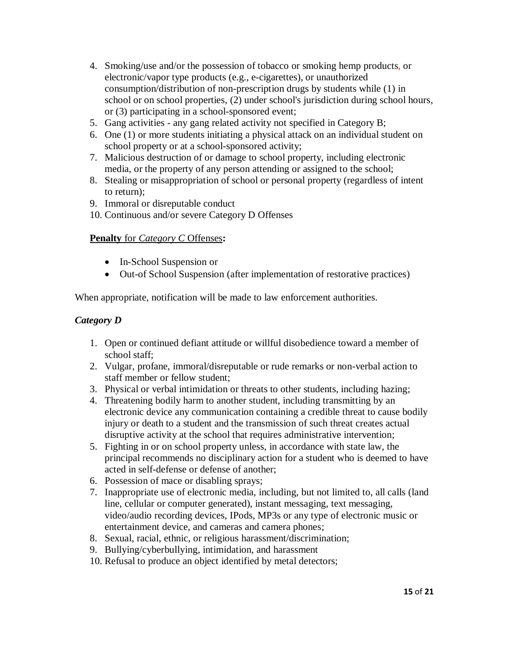- 4. Smoking/use and/or the possession of tobacco or smoking hemp products, or electronic/vapor type products (e.g., e-cigarettes), or unauthorized consumption/distribution of non-prescription drugs by students while (1) in school or on school properties, (2) under school's jurisdiction during school hours, or (3) participating in a school-sponsored event;
- 5. Gang activities any gang related activity not specified in Category B;
- 6. One (1) or more students initiating a physical attack on an individual student on school property or at a school-sponsored activity;
- 7. Malicious destruction of or damage to school property, including electronic media, or the property of any person attending or assigned to the school;
- 8. Stealing or misappropriation of school or personal property (regardless of intent to return);
- 9. Immoral or disreputable conduct
- 10. Continuous and/or severe Category D Offenses

## **Penalty** for *Category C* Offenses**:**

- In-School Suspension or
- Out-of School Suspension (after implementation of restorative practices)

When appropriate, notification will be made to law enforcement authorities.

## *Category D*

- 1. Open or continued defiant attitude or willful disobedience toward a member of school staff;
- 2. Vulgar, profane, immoral/disreputable or rude remarks or non-verbal action to staff member or fellow student;
- 3. Physical or verbal intimidation or threats to other students, including hazing;
- 4. Threatening bodily harm to another student, including transmitting by an electronic device any communication containing a credible threat to cause bodily injury or death to a student and the transmission of such threat creates actual disruptive activity at the school that requires administrative intervention;
- 5. Fighting in or on school property unless, in accordance with state law, the principal recommends no disciplinary action for a student who is deemed to have acted in self-defense or defense of another;
- 6. Possession of mace or disabling sprays;
- 7. Inappropriate use of electronic media, including, but not limited to, all calls (land line, cellular or computer generated), instant messaging, text messaging, video/audio recording devices, IPods, MP3s or any type of electronic music or entertainment device, and cameras and camera phones;
- 8. Sexual, racial, ethnic, or religious harassment/discrimination;
- 9. Bullying/cyberbullying, intimidation, and harassment
- 10. Refusal to produce an object identified by metal detectors;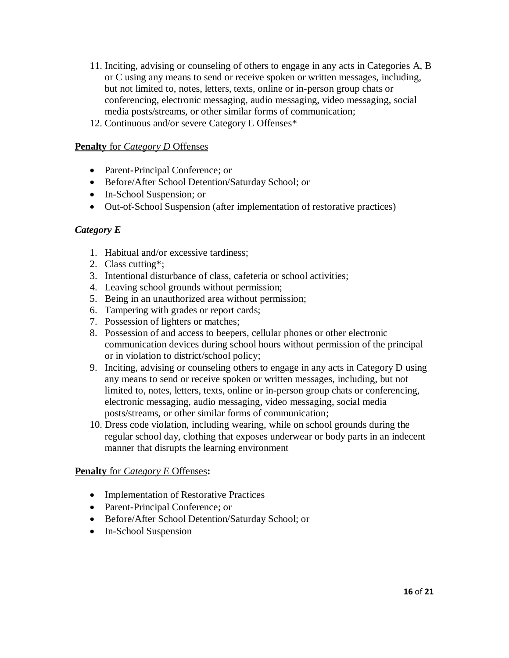- 11. Inciting, advising or counseling of others to engage in any acts in Categories A, B or C using any means to send or receive spoken or written messages, including, but not limited to, notes, letters, texts, online or in-person group chats or conferencing, electronic messaging, audio messaging, video messaging, social media posts/streams, or other similar forms of communication;
- 12. Continuous and/or severe Category E Offenses\*

#### **Penalty** for *Category D* Offenses

- Parent**-**Principal Conference; or
- Before/After School Detention/Saturday School; or
- In-School Suspension; or
- Out-of-School Suspension (after implementation of restorative practices)

#### *Category E*

- 1. Habitual and/or excessive tardiness;
- 2. Class cutting\*;
- 3. Intentional disturbance of class, cafeteria or school activities;
- 4. Leaving school grounds without permission;
- 5. Being in an unauthorized area without permission;
- 6. Tampering with grades or report cards;
- 7. Possession of lighters or matches;
- 8. Possession of and access to beepers, cellular phones or other electronic communication devices during school hours without permission of the principal or in violation to district/school policy;
- 9. Inciting, advising or counseling others to engage in any acts in Category D using any means to send or receive spoken or written messages, including, but not limited to, notes, letters, texts, online or in-person group chats or conferencing, electronic messaging, audio messaging, video messaging, social media posts/streams, or other similar forms of communication;
- 10. Dress code violation, including wearing, while on school grounds during the regular school day, clothing that exposes underwear or body parts in an indecent manner that disrupts the learning environment

#### **Penalty** for *Category E* Offenses**:**

- Implementation of Restorative Practices
- Parent**-**Principal Conference; or
- Before/After School Detention/Saturday School; or
- In-School Suspension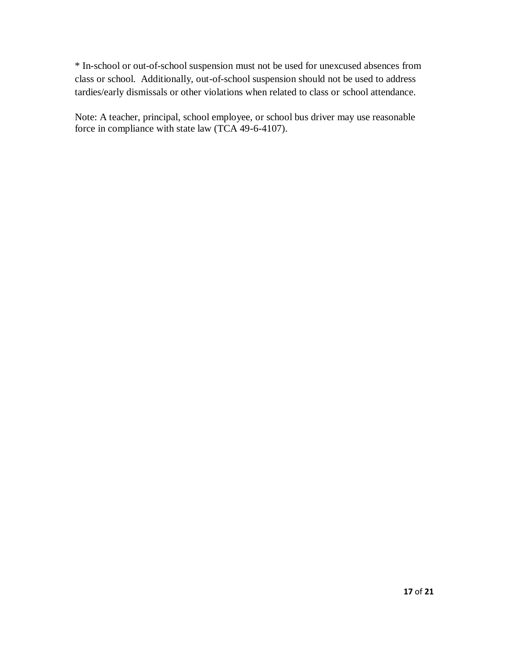\* In-school or out-of-school suspension must not be used for unexcused absences from class or school. Additionally, out-of-school suspension should not be used to address tardies/early dismissals or other violations when related to class or school attendance.

Note: A teacher, principal, school employee, or school bus driver may use reasonable force in compliance with state law (TCA 49-6-4107).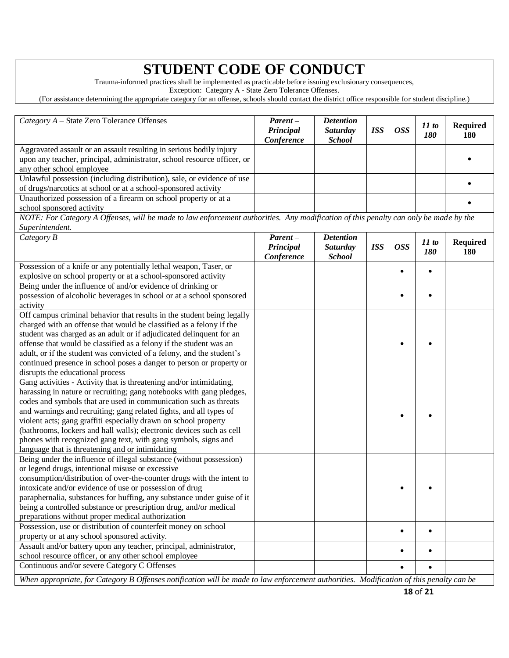# **STUDENT CODE OF CONDUCT**

Trauma-informed practices shall be implemented as practicable before issuing exclusionary consequences,

Exception: Category A - State Zero Tolerance Offenses.

(For assistance determining the appropriate category for an offense, schools should contact the district office responsible for student discipline.)

| Category A - State Zero Tolerance Offenses                                                                                                                                                                                                                                                                                                                                                                                                                                                                                                             | Parent-                            | <b>Detention</b>                                     |            |            |              |                               |
|--------------------------------------------------------------------------------------------------------------------------------------------------------------------------------------------------------------------------------------------------------------------------------------------------------------------------------------------------------------------------------------------------------------------------------------------------------------------------------------------------------------------------------------------------------|------------------------------------|------------------------------------------------------|------------|------------|--------------|-------------------------------|
|                                                                                                                                                                                                                                                                                                                                                                                                                                                                                                                                                        | Principal<br>Conference            | <b>Saturday</b><br><b>School</b>                     | <b>ISS</b> | <b>OSS</b> | 11 to<br>180 | <b>Required</b><br>180        |
| Aggravated assault or an assault resulting in serious bodily injury<br>upon any teacher, principal, administrator, school resource officer, or<br>any other school employee                                                                                                                                                                                                                                                                                                                                                                            |                                    |                                                      |            |            |              |                               |
| Unlawful possession (including distribution), sale, or evidence of use<br>of drugs/narcotics at school or at a school-sponsored activity                                                                                                                                                                                                                                                                                                                                                                                                               |                                    |                                                      |            |            |              |                               |
| Unauthorized possession of a firearm on school property or at a<br>school sponsored activity                                                                                                                                                                                                                                                                                                                                                                                                                                                           |                                    |                                                      |            |            |              |                               |
| NOTE: For Category A Offenses, will be made to law enforcement authorities. Any modification of this penalty can only be made by the<br>Superintendent.                                                                                                                                                                                                                                                                                                                                                                                                |                                    |                                                      |            |            |              |                               |
| Category B                                                                                                                                                                                                                                                                                                                                                                                                                                                                                                                                             | Parent-<br>Principal<br>Conference | <b>Detention</b><br><b>Saturday</b><br><b>School</b> | <b>ISS</b> | <b>OSS</b> | 11 to<br>180 | <b>Required</b><br><b>180</b> |
| Possession of a knife or any potentially lethal weapon, Taser, or<br>explosive on school property or at a school-sponsored activity                                                                                                                                                                                                                                                                                                                                                                                                                    |                                    |                                                      |            | $\bullet$  |              |                               |
| Being under the influence of and/or evidence of drinking or<br>possession of alcoholic beverages in school or at a school sponsored<br>activity                                                                                                                                                                                                                                                                                                                                                                                                        |                                    |                                                      |            |            |              |                               |
| Off campus criminal behavior that results in the student being legally<br>charged with an offense that would be classified as a felony if the<br>student was charged as an adult or if adjudicated delinquent for an<br>offense that would be classified as a felony if the student was an<br>adult, or if the student was convicted of a felony, and the student's<br>continued presence in school poses a danger to person or property or<br>disrupts the educational process                                                                        |                                    |                                                      |            |            |              |                               |
| Gang activities - Activity that is threatening and/or intimidating,<br>harassing in nature or recruiting; gang notebooks with gang pledges,<br>codes and symbols that are used in communication such as threats<br>and warnings and recruiting; gang related fights, and all types of<br>violent acts; gang graffiti especially drawn on school property<br>(bathrooms, lockers and hall walls); electronic devices such as cell<br>phones with recognized gang text, with gang symbols, signs and<br>language that is threatening and or intimidating |                                    |                                                      |            |            |              |                               |
| Being under the influence of illegal substance (without possession)<br>or legend drugs, intentional misuse or excessive<br>consumption/distribution of over-the-counter drugs with the intent to<br>intoxicate and/or evidence of use or possession of drug<br>paraphernalia, substances for huffing, any substance under guise of it<br>being a controlled substance or prescription drug, and/or medical<br>preparations without proper medical authorization                                                                                        |                                    |                                                      |            |            |              |                               |
| Possession, use or distribution of counterfeit money on school<br>property or at any school sponsored activity.                                                                                                                                                                                                                                                                                                                                                                                                                                        |                                    |                                                      |            | $\bullet$  | $\bullet$    |                               |
| Assault and/or battery upon any teacher, principal, administrator,<br>school resource officer, or any other school employee<br>Continuous and/or severe Category C Offenses                                                                                                                                                                                                                                                                                                                                                                            |                                    |                                                      |            | ٠          |              |                               |
| When appropriate, for Category B Offenses notification will be made to law enforcement authorities. Modification of this penalty can be                                                                                                                                                                                                                                                                                                                                                                                                                |                                    |                                                      |            |            |              |                               |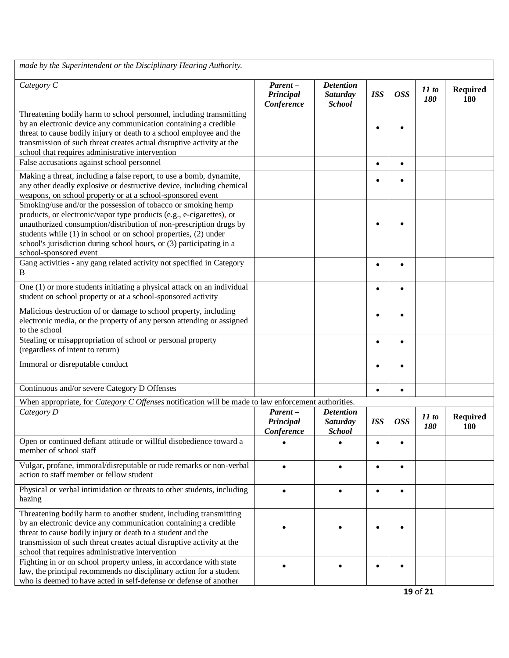| made by the Superintendent or the Disciplinary Hearing Authority.                                                                                                                                                                                                                                                                                                               |                                       |                                                      |            |            |                     |                        |
|---------------------------------------------------------------------------------------------------------------------------------------------------------------------------------------------------------------------------------------------------------------------------------------------------------------------------------------------------------------------------------|---------------------------------------|------------------------------------------------------|------------|------------|---------------------|------------------------|
| Category C                                                                                                                                                                                                                                                                                                                                                                      | $Parent -$<br>Principal<br>Conference | <b>Detention</b><br><b>Saturday</b><br><b>School</b> | <b>ISS</b> | <b>OSS</b> | 11 to<br><b>180</b> | <b>Required</b><br>180 |
| Threatening bodily harm to school personnel, including transmitting<br>by an electronic device any communication containing a credible<br>threat to cause bodily injury or death to a school employee and the<br>transmission of such threat creates actual disruptive activity at the<br>school that requires administrative intervention                                      |                                       |                                                      |            |            |                     |                        |
| False accusations against school personnel                                                                                                                                                                                                                                                                                                                                      |                                       |                                                      | $\bullet$  | $\bullet$  |                     |                        |
| Making a threat, including a false report, to use a bomb, dynamite,<br>any other deadly explosive or destructive device, including chemical<br>weapons, on school property or at a school-sponsored event                                                                                                                                                                       |                                       |                                                      |            |            |                     |                        |
| Smoking/use and/or the possession of tobacco or smoking hemp<br>products, or electronic/vapor type products (e.g., e-cigarettes), or<br>unauthorized consumption/distribution of non-prescription drugs by<br>students while (1) in school or on school properties, (2) under<br>school's jurisdiction during school hours, or (3) participating in a<br>school-sponsored event |                                       |                                                      |            |            |                     |                        |
| Gang activities - any gang related activity not specified in Category<br>B                                                                                                                                                                                                                                                                                                      |                                       |                                                      | $\bullet$  |            |                     |                        |
| One (1) or more students initiating a physical attack on an individual<br>student on school property or at a school-sponsored activity                                                                                                                                                                                                                                          |                                       |                                                      | $\bullet$  | $\bullet$  |                     |                        |
| Malicious destruction of or damage to school property, including<br>electronic media, or the property of any person attending or assigned<br>to the school                                                                                                                                                                                                                      |                                       |                                                      | $\bullet$  |            |                     |                        |
| Stealing or misappropriation of school or personal property<br>(regardless of intent to return)                                                                                                                                                                                                                                                                                 |                                       |                                                      | ٠          |            |                     |                        |
| Immoral or disreputable conduct                                                                                                                                                                                                                                                                                                                                                 |                                       |                                                      | $\bullet$  | $\bullet$  |                     |                        |
| Continuous and/or severe Category D Offenses                                                                                                                                                                                                                                                                                                                                    |                                       |                                                      | $\bullet$  | $\bullet$  |                     |                        |
| When appropriate, for <i>Category C Offenses</i> notification will be made to law enforcement authorities.                                                                                                                                                                                                                                                                      |                                       |                                                      |            |            |                     |                        |
| Category D                                                                                                                                                                                                                                                                                                                                                                      | Parent-<br>Principal<br>Conference    | <b>Detention</b><br><b>Saturday</b><br><b>School</b> | <b>ISS</b> | <b>OSS</b> | 11 to<br>180        | <b>Required</b><br>180 |
| Open or continued defiant attitude or willful disobedience toward a<br>member of school staff                                                                                                                                                                                                                                                                                   |                                       |                                                      |            |            |                     |                        |
| Vulgar, profane, immoral/disreputable or rude remarks or non-verbal<br>action to staff member or fellow student                                                                                                                                                                                                                                                                 | $\bullet$                             |                                                      | $\bullet$  | $\bullet$  |                     |                        |
| Physical or verbal intimidation or threats to other students, including<br>hazing                                                                                                                                                                                                                                                                                               |                                       |                                                      | $\bullet$  |            |                     |                        |
| Threatening bodily harm to another student, including transmitting<br>by an electronic device any communication containing a credible<br>threat to cause bodily injury or death to a student and the<br>transmission of such threat creates actual disruptive activity at the<br>school that requires administrative intervention                                               |                                       |                                                      |            |            |                     |                        |
| Fighting in or on school property unless, in accordance with state<br>law, the principal recommends no disciplinary action for a student<br>who is deemed to have acted in self-defense or defense of another                                                                                                                                                                   |                                       |                                                      | $\bullet$  |            |                     |                        |
|                                                                                                                                                                                                                                                                                                                                                                                 |                                       |                                                      |            |            | 19 of 21            |                        |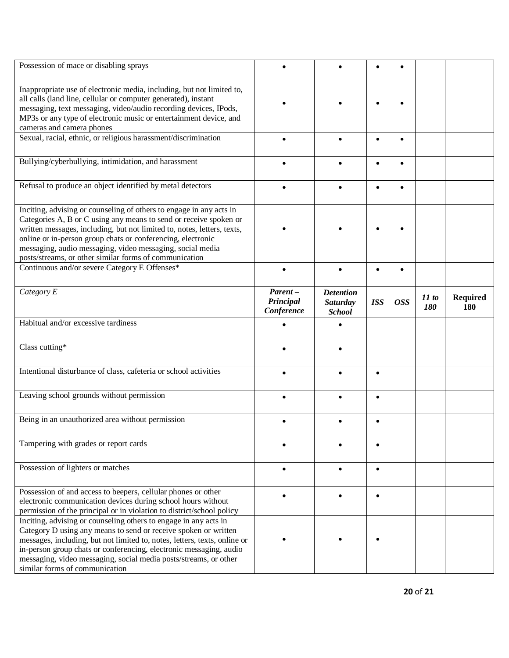| Possession of mace or disabling sprays                                                                                                                                                                                                                                                                                                                                                                    |                                    |                                                      |            |            |                     |                        |
|-----------------------------------------------------------------------------------------------------------------------------------------------------------------------------------------------------------------------------------------------------------------------------------------------------------------------------------------------------------------------------------------------------------|------------------------------------|------------------------------------------------------|------------|------------|---------------------|------------------------|
| Inappropriate use of electronic media, including, but not limited to,<br>all calls (land line, cellular or computer generated), instant<br>messaging, text messaging, video/audio recording devices, IPods,<br>MP3s or any type of electronic music or entertainment device, and<br>cameras and camera phones                                                                                             |                                    |                                                      |            |            |                     |                        |
| Sexual, racial, ethnic, or religious harassment/discrimination                                                                                                                                                                                                                                                                                                                                            |                                    |                                                      | ٠          | $\bullet$  |                     |                        |
| Bullying/cyberbullying, intimidation, and harassment                                                                                                                                                                                                                                                                                                                                                      |                                    |                                                      | $\bullet$  |            |                     |                        |
| Refusal to produce an object identified by metal detectors                                                                                                                                                                                                                                                                                                                                                |                                    |                                                      |            |            |                     |                        |
| Inciting, advising or counseling of others to engage in any acts in<br>Categories A, B or C using any means to send or receive spoken or<br>written messages, including, but not limited to, notes, letters, texts,<br>online or in-person group chats or conferencing, electronic<br>messaging, audio messaging, video messaging, social media<br>posts/streams, or other similar forms of communication |                                    |                                                      |            |            |                     |                        |
| Continuous and/or severe Category E Offenses*                                                                                                                                                                                                                                                                                                                                                             | $\bullet$                          |                                                      | $\bullet$  | $\bullet$  |                     |                        |
| Category E                                                                                                                                                                                                                                                                                                                                                                                                | Parent-<br>Principal<br>Conference | <b>Detention</b><br><b>Saturday</b><br><b>School</b> | <b>ISS</b> | <b>OSS</b> | 11 to<br><b>180</b> | <b>Required</b><br>180 |
| Habitual and/or excessive tardiness                                                                                                                                                                                                                                                                                                                                                                       |                                    |                                                      |            |            |                     |                        |
| Class cutting*                                                                                                                                                                                                                                                                                                                                                                                            |                                    |                                                      |            |            |                     |                        |
| Intentional disturbance of class, cafeteria or school activities                                                                                                                                                                                                                                                                                                                                          |                                    |                                                      | $\bullet$  |            |                     |                        |
| Leaving school grounds without permission                                                                                                                                                                                                                                                                                                                                                                 |                                    |                                                      | $\bullet$  |            |                     |                        |
| Being in an unauthorized area without permission                                                                                                                                                                                                                                                                                                                                                          |                                    |                                                      | $\bullet$  |            |                     |                        |
| Tampering with grades or report cards                                                                                                                                                                                                                                                                                                                                                                     |                                    |                                                      | $\bullet$  |            |                     |                        |
| Possession of lighters or matches                                                                                                                                                                                                                                                                                                                                                                         |                                    |                                                      | $\bullet$  |            |                     |                        |
| Possession of and access to beepers, cellular phones or other<br>electronic communication devices during school hours without<br>permission of the principal or in violation to district/school policy                                                                                                                                                                                                    |                                    |                                                      | $\bullet$  |            |                     |                        |
| Inciting, advising or counseling others to engage in any acts in<br>Category D using any means to send or receive spoken or written<br>messages, including, but not limited to, notes, letters, texts, online or<br>in-person group chats or conferencing, electronic messaging, audio<br>messaging, video messaging, social media posts/streams, or other<br>similar forms of communication              |                                    |                                                      |            |            |                     |                        |